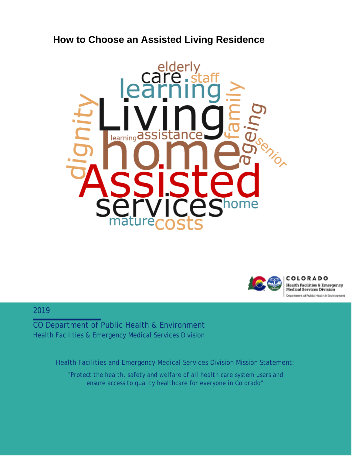# **How to Choose an Assisted Living Residence**





COLORADO **Health Facilities & Emergency Medical Services Division** Department of Public Health & Environment

#### 2019

CO Department of Public Health & Environment Health Facilities & Emergency Medical Services Division

Health Facilities and Emergency Medical Services Division Mission Statement:

*"Protect the health, safety and welfare of all health care system users and ensure access to quality healthcare for everyone in Colorado"*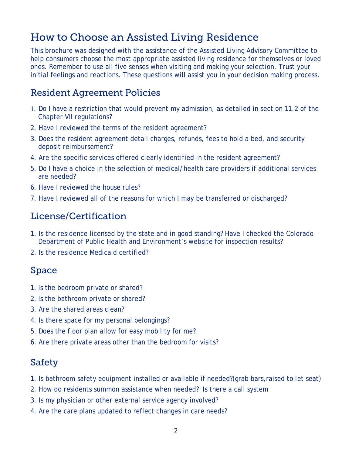# How to Choose an Assisted Living Residence

This brochure was designed with the assistance of the Assisted Living Advisory Committee to help consumers choose the most appropriate assisted living residence for themselves or loved ones. Remember to use all five senses when visiting and making your selection. Trust your initial feelings and reactions. These questions will assist you in your decision making process.

### Resident Agreement Policies

- 1. Do I have a restriction that would prevent my admission, as detailed in section 11.2 of the Chapter VII regulations?
- 2. Have I reviewed the terms of the resident agreement?
- 3. Does the resident agreement detail charges, refunds, fees to hold a bed, and security deposit reimbursement?
- 4. Are the specific services offered clearly identified in the resident agreement?
- 5. Do I have a choice in the selection of medical/health care providers if additional services are needed?
- 6. Have I reviewed the house rules?
- 7. Have I reviewed all of the reasons for which I may be transferred or discharged?

## License/Certification

- 1. Is the residence licensed by the state and in good standing? Have I checked the Colorado Department of Public Health and Environment's website for inspection results?
- 2. Is the residence Medicaid certified?

#### Space

- 1. Is the bedroom private or shared?
- 2. Is the bathroom private or shared?
- 3. Are the shared areas clean?
- 4. Is there space for my personal belongings?
- 5. Does the floor plan allow for easy mobility for me?
- 6. Are there private areas other than the bedroom for visits?

#### Safety

- 1. Is bathroom safety equipment installed or available if needed?(grab bars,raised toilet seat)
- 2. How do residents summon assistance when needed? Is there a call system
- 3. Is my physician or other external service agency involved?
- 4. Are the care plans updated to reflect changes in care needs?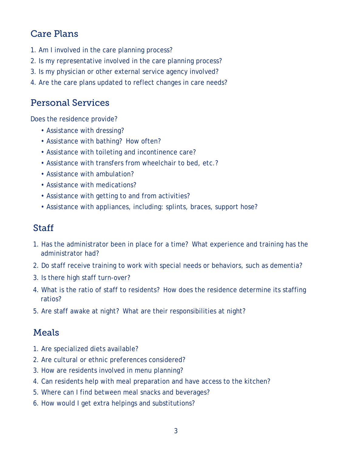## Care Plans

- 1. Am I involved in the care planning process?
- 2. Is my representative involved in the care planning process?
- 3. Is my physician or other external service agency involved?
- 4. Are the care plans updated to reflect changes in care needs?

### Personal Services

Does the residence provide?

- Assistance with dressing?
- Assistance with bathing? How often?
- Assistance with toileting and incontinence care?
- Assistance with transfers from wheelchair to bed, etc.?
- Assistance with ambulation?
- Assistance with medications?
- Assistance with getting to and from activities?
- Assistance with appliances, including: splints, braces, support hose?

#### **Staff**

- 1. Has the administrator been in place for a time? What experience and training has the administrator had?
- 2. Do staff receive training to work with special needs or behaviors, such as dementia?
- 3. Is there high staff turn-over?
- 4. What is the ratio of staff to residents? How does the residence determine its staffing ratios?
- 5. Are staff awake at night? What are their responsibilities at night?

#### Meals

- 1. Are specialized diets available?
- 2. Are cultural or ethnic preferences considered?
- 3. How are residents involved in menu planning?
- 4. Can residents help with meal preparation and have access to the kitchen?
- 5. Where can I find between meal snacks and beverages?
- 6. How would I get extra helpings and substitutions?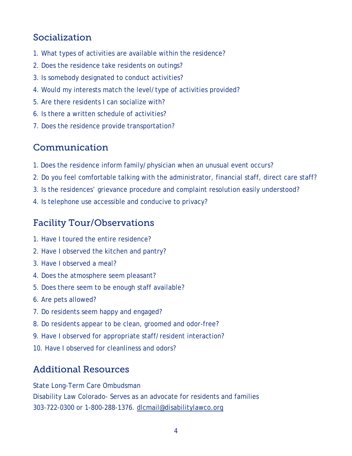# Socialization

- 1. What types of activities are available within the residence?
- 2. Does the residence take residents on outings?
- 3. Is somebody designated to conduct activities?
- 4. Would my interests match the level/type of activities provided?
- 5. Are there residents I can socialize with?
- 6. Is there a written schedule of activities?
- 7. Does the residence provide transportation?

#### Communication

- 1. Does the residence inform family/physician when an unusual event occurs?
- 2. Do you feel comfortable talking with the administrator, financial staff, direct care staff?
- 3. Is the residences' grievance procedure and complaint resolution easily understood?
- 4. Is telephone use accessible and conducive to privacy?

### Facility Tour/Observations

- 1. Have I toured the entire residence?
- 2. Have I observed the kitchen and pantry?
- 3. Have I observed a meal?
- 4. Does the atmosphere seem pleasant?
- 5. Does there seem to be enough staff available?
- 6. Are pets allowed?
- 7. Do residents seem happy and engaged?
- 8. Do residents appear to be clean, groomed and odor-free?
- 9. Have I observed for appropriate staff/resident interaction?
- 10. Have I observed for cleanliness and odors?

### Additional Resources

State Long-Term Care Ombudsman

Disability Law Colorado- Serves as an advocate for residents and families 303-722-0300 or 1-800-288-1376. [dlcmail@disabilitylawco.org](mailto:dlcmail@disabilitylawco.org)